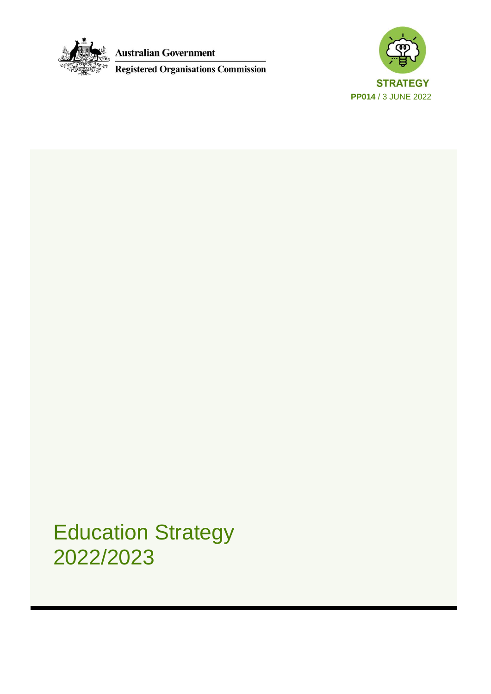

**Australian Government** 

Registered Organisations Commission



Education Strategy 2022/2023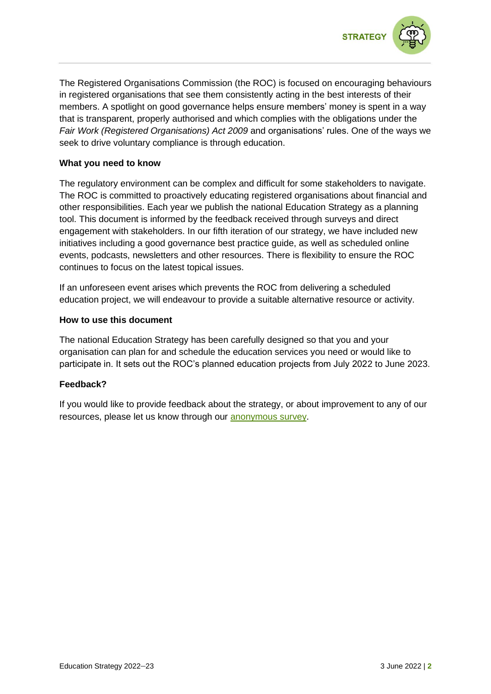



The Registered Organisations Commission (the ROC) is focused on encouraging behaviours in registered organisations that see them consistently acting in the best interests of their members. A spotlight on good governance helps ensure members' money is spent in a way that is transparent, properly authorised and which complies with the obligations under the *Fair Work (Registered Organisations) Act 2009* and organisations' rules. One of the ways we seek to drive voluntary compliance is through education.

## **What you need to know**

The regulatory environment can be complex and difficult for some stakeholders to navigate. The ROC is committed to proactively educating registered organisations about financial and other responsibilities. Each year we publish the national Education Strategy as a planning tool. This document is informed by the feedback received through surveys and direct engagement with stakeholders. In our fifth iteration of our strategy, we have included new initiatives including a good governance best practice guide, as well as scheduled online events, podcasts, newsletters and other resources. There is flexibility to ensure the ROC continues to focus on the latest topical issues.

If an unforeseen event arises which prevents the ROC from delivering a scheduled education project, we will endeavour to provide a suitable alternative resource or activity.

## **How to use this document**

The national Education Strategy has been carefully designed so that you and your organisation can plan for and schedule the education services you need or would like to participate in. It sets out the ROC's planned education projects from July 2022 to June 2023.

## **Feedback?**

If you would like to provide feedback about the strategy, or about improvement to any of our resources, please let us know through our [anonymous survey.](https://fwo.au1.qualtrics.com/jfe/form/SV_5msPWnOgdPGOBv0)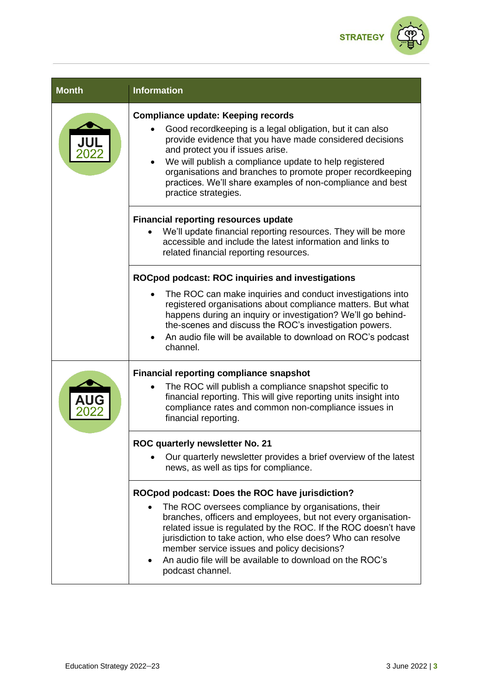

| <b>Month</b> | <b>Information</b>                                                                                                                                                                                                                                                                                                                                                                                                                           |
|--------------|----------------------------------------------------------------------------------------------------------------------------------------------------------------------------------------------------------------------------------------------------------------------------------------------------------------------------------------------------------------------------------------------------------------------------------------------|
|              | <b>Compliance update: Keeping records</b><br>Good recordkeeping is a legal obligation, but it can also<br>provide evidence that you have made considered decisions<br>and protect you if issues arise.<br>We will publish a compliance update to help registered<br>organisations and branches to promote proper recordkeeping<br>practices. We'll share examples of non-compliance and best<br>practice strategies.                         |
|              | <b>Financial reporting resources update</b><br>We'll update financial reporting resources. They will be more<br>accessible and include the latest information and links to<br>related financial reporting resources.                                                                                                                                                                                                                         |
|              | <b>ROCpod podcast: ROC inquiries and investigations</b><br>The ROC can make inquiries and conduct investigations into<br>registered organisations about compliance matters. But what<br>happens during an inquiry or investigation? We'll go behind-<br>the-scenes and discuss the ROC's investigation powers.<br>An audio file will be available to download on ROC's podcast<br>$\bullet$<br>channel.                                      |
|              | <b>Financial reporting compliance snapshot</b><br>The ROC will publish a compliance snapshot specific to<br>financial reporting. This will give reporting units insight into<br>compliance rates and common non-compliance issues in<br>financial reporting.                                                                                                                                                                                 |
|              | ROC quarterly newsletter No. 21<br>Our quarterly newsletter provides a brief overview of the latest<br>news, as well as tips for compliance.                                                                                                                                                                                                                                                                                                 |
|              | ROCpod podcast: Does the ROC have jurisdiction?<br>The ROC oversees compliance by organisations, their<br>branches, officers and employees, but not every organisation-<br>related issue is regulated by the ROC. If the ROC doesn't have<br>jurisdiction to take action, who else does? Who can resolve<br>member service issues and policy decisions?<br>An audio file will be available to download on the ROC's<br>٠<br>podcast channel. |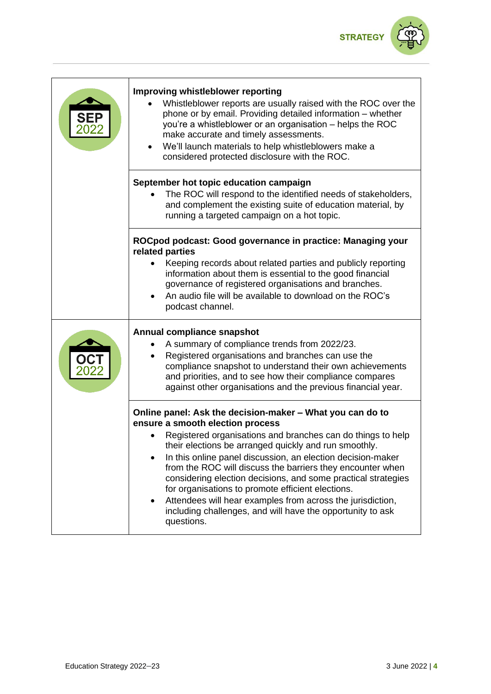

| <b>Improving whistleblower reporting</b><br>Whistleblower reports are usually raised with the ROC over the<br>phone or by email. Providing detailed information – whether<br>you're a whistleblower or an organisation - helps the ROC<br>make accurate and timely assessments.<br>We'll launch materials to help whistleblowers make a<br>considered protected disclosure with the ROC.                                                                                                                                                                                                                                        |
|---------------------------------------------------------------------------------------------------------------------------------------------------------------------------------------------------------------------------------------------------------------------------------------------------------------------------------------------------------------------------------------------------------------------------------------------------------------------------------------------------------------------------------------------------------------------------------------------------------------------------------|
| September hot topic education campaign<br>The ROC will respond to the identified needs of stakeholders,<br>and complement the existing suite of education material, by<br>running a targeted campaign on a hot topic.                                                                                                                                                                                                                                                                                                                                                                                                           |
| ROCpod podcast: Good governance in practice: Managing your<br>related parties<br>Keeping records about related parties and publicly reporting<br>information about them is essential to the good financial<br>governance of registered organisations and branches.<br>An audio file will be available to download on the ROC's<br>podcast channel.                                                                                                                                                                                                                                                                              |
| Annual compliance snapshot<br>A summary of compliance trends from 2022/23.<br>Registered organisations and branches can use the<br>$\bullet$<br>compliance snapshot to understand their own achievements<br>and priorities, and to see how their compliance compares<br>against other organisations and the previous financial year.                                                                                                                                                                                                                                                                                            |
| Online panel: Ask the decision-maker – What you can do to<br>ensure a smooth election process<br>Registered organisations and branches can do things to help<br>their elections be arranged quickly and run smoothly.<br>In this online panel discussion, an election decision-maker<br>from the ROC will discuss the barriers they encounter when<br>considering election decisions, and some practical strategies<br>for organisations to promote efficient elections.<br>Attendees will hear examples from across the jurisdiction,<br>$\bullet$<br>including challenges, and will have the opportunity to ask<br>questions. |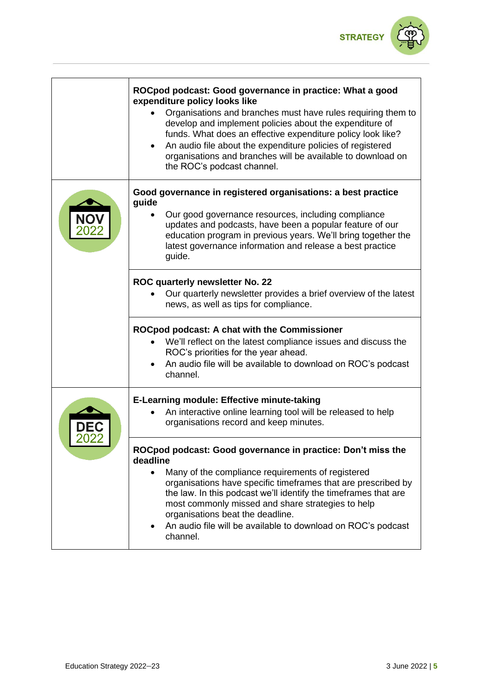

| ROCpod podcast: Good governance in practice: What a good<br>expenditure policy looks like<br>Organisations and branches must have rules requiring them to<br>develop and implement policies about the expenditure of<br>funds. What does an effective expenditure policy look like?<br>An audio file about the expenditure policies of registered<br>organisations and branches will be available to download on<br>the ROC's podcast channel.                  |
|-----------------------------------------------------------------------------------------------------------------------------------------------------------------------------------------------------------------------------------------------------------------------------------------------------------------------------------------------------------------------------------------------------------------------------------------------------------------|
| Good governance in registered organisations: a best practice<br>guide<br>Our good governance resources, including compliance<br>updates and podcasts, have been a popular feature of our<br>education program in previous years. We'll bring together the<br>latest governance information and release a best practice<br>guide.                                                                                                                                |
| ROC quarterly newsletter No. 22<br>Our quarterly newsletter provides a brief overview of the latest<br>news, as well as tips for compliance.                                                                                                                                                                                                                                                                                                                    |
| <b>ROCpod podcast: A chat with the Commissioner</b><br>We'll reflect on the latest compliance issues and discuss the<br>ROC's priorities for the year ahead.<br>An audio file will be available to download on ROC's podcast<br>channel.                                                                                                                                                                                                                        |
| <b>E-Learning module: Effective minute-taking</b><br>An interactive online learning tool will be released to help<br>organisations record and keep minutes.                                                                                                                                                                                                                                                                                                     |
| ROCpod podcast: Good governance in practice: Don't miss the<br>deadline<br>Many of the compliance requirements of registered<br>$\bullet$<br>organisations have specific timeframes that are prescribed by<br>the law. In this podcast we'll identify the timeframes that are<br>most commonly missed and share strategies to help<br>organisations beat the deadline.<br>An audio file will be available to download on ROC's podcast<br>$\bullet$<br>channel. |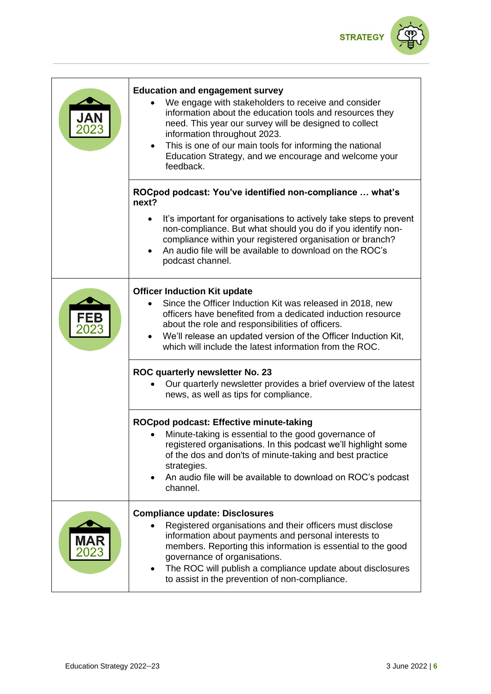

| JAN<br>2023        | <b>Education and engagement survey</b><br>We engage with stakeholders to receive and consider<br>information about the education tools and resources they<br>need. This year our survey will be designed to collect<br>information throughout 2023.<br>This is one of our main tools for informing the national<br>$\bullet$<br>Education Strategy, and we encourage and welcome your<br>feedback. |
|--------------------|----------------------------------------------------------------------------------------------------------------------------------------------------------------------------------------------------------------------------------------------------------------------------------------------------------------------------------------------------------------------------------------------------|
|                    | ROCpod podcast: You've identified non-compliance  what's<br>next?                                                                                                                                                                                                                                                                                                                                  |
|                    | It's important for organisations to actively take steps to prevent<br>non-compliance. But what should you do if you identify non-<br>compliance within your registered organisation or branch?<br>An audio file will be available to download on the ROC's<br>podcast channel.                                                                                                                     |
| FEB<br>2023        | <b>Officer Induction Kit update</b><br>Since the Officer Induction Kit was released in 2018, new<br>officers have benefited from a dedicated induction resource<br>about the role and responsibilities of officers.<br>We'll release an updated version of the Officer Induction Kit,<br>which will include the latest information from the ROC.                                                   |
|                    | ROC quarterly newsletter No. 23<br>Our quarterly newsletter provides a brief overview of the latest<br>news, as well as tips for compliance.                                                                                                                                                                                                                                                       |
|                    | ROCpod podcast: Effective minute-taking<br>Minute-taking is essential to the good governance of<br>registered organisations. In this podcast we'll highlight some<br>of the dos and don'ts of minute-taking and best practice<br>strategies.<br>An audio file will be available to download on ROC's podcast<br>channel.                                                                           |
| <b>MAR</b><br>2023 | <b>Compliance update: Disclosures</b><br>Registered organisations and their officers must disclose<br>information about payments and personal interests to<br>members. Reporting this information is essential to the good<br>governance of organisations.<br>The ROC will publish a compliance update about disclosures<br>to assist in the prevention of non-compliance.                         |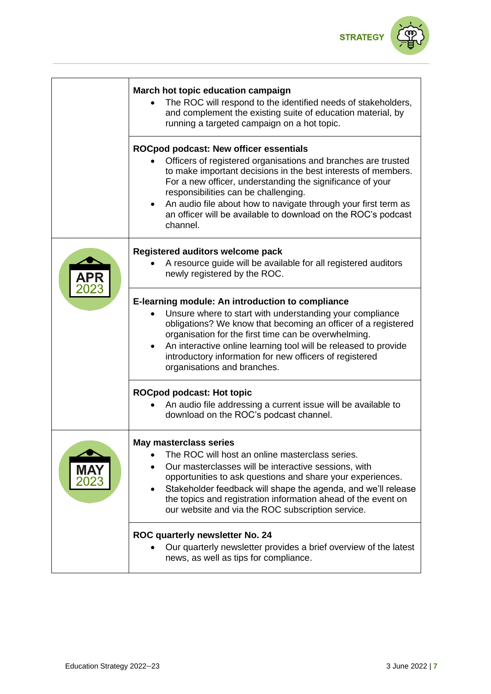

| March hot topic education campaign<br>The ROC will respond to the identified needs of stakeholders,<br>and complement the existing suite of education material, by<br>running a targeted campaign on a hot topic.                                                                                                                                                                                                            |
|------------------------------------------------------------------------------------------------------------------------------------------------------------------------------------------------------------------------------------------------------------------------------------------------------------------------------------------------------------------------------------------------------------------------------|
| ROCpod podcast: New officer essentials<br>Officers of registered organisations and branches are trusted<br>to make important decisions in the best interests of members.<br>For a new officer, understanding the significance of your<br>responsibilities can be challenging.<br>An audio file about how to navigate through your first term as<br>an officer will be available to download on the ROC's podcast<br>channel. |
| Registered auditors welcome pack<br>A resource guide will be available for all registered auditors<br>newly registered by the ROC.                                                                                                                                                                                                                                                                                           |
| E-learning module: An introduction to compliance<br>Unsure where to start with understanding your compliance<br>obligations? We know that becoming an officer of a registered<br>organisation for the first time can be overwhelming.<br>An interactive online learning tool will be released to provide<br>introductory information for new officers of registered<br>organisations and branches.                           |
| <b>ROCpod podcast: Hot topic</b><br>An audio file addressing a current issue will be available to<br>download on the ROC's podcast channel.                                                                                                                                                                                                                                                                                  |
| <b>May masterclass series</b><br>The ROC will host an online masterclass series.<br>Our masterclasses will be interactive sessions, with<br>opportunities to ask questions and share your experiences.<br>Stakeholder feedback will shape the agenda, and we'll release<br>the topics and registration information ahead of the event on<br>our website and via the ROC subscription service.                                |
| ROC quarterly newsletter No. 24<br>Our quarterly newsletter provides a brief overview of the latest<br>news, as well as tips for compliance.                                                                                                                                                                                                                                                                                 |